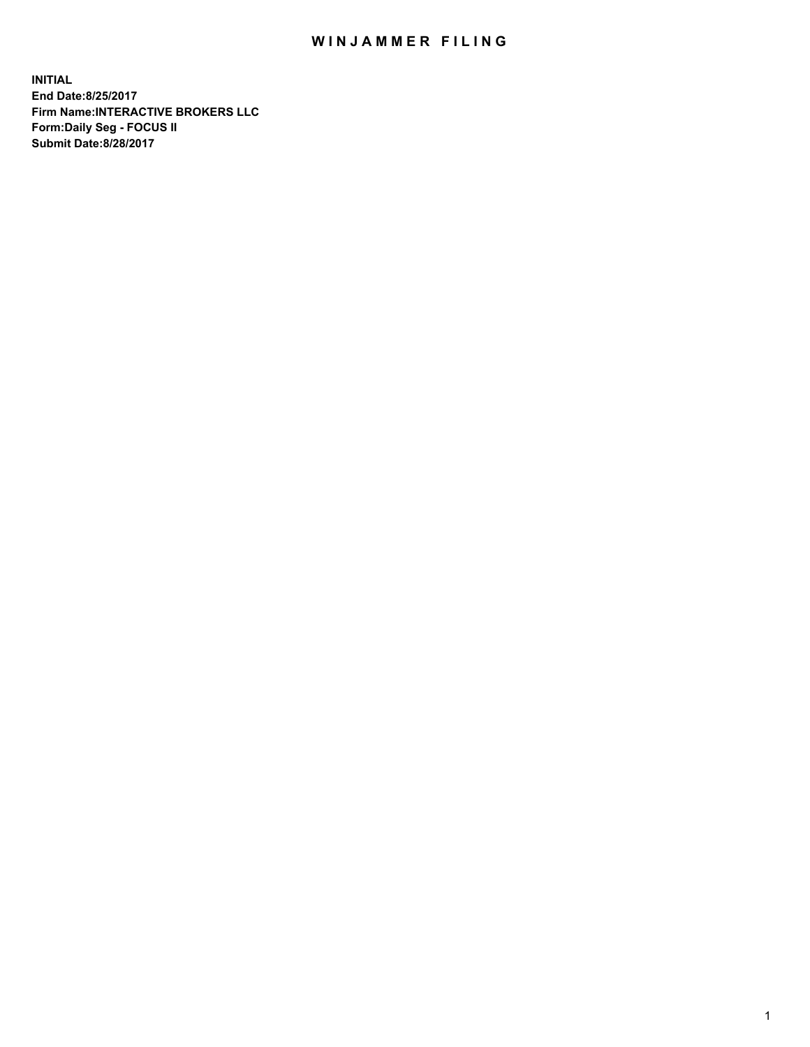## WIN JAMMER FILING

**INITIAL End Date:8/25/2017 Firm Name:INTERACTIVE BROKERS LLC Form:Daily Seg - FOCUS II Submit Date:8/28/2017**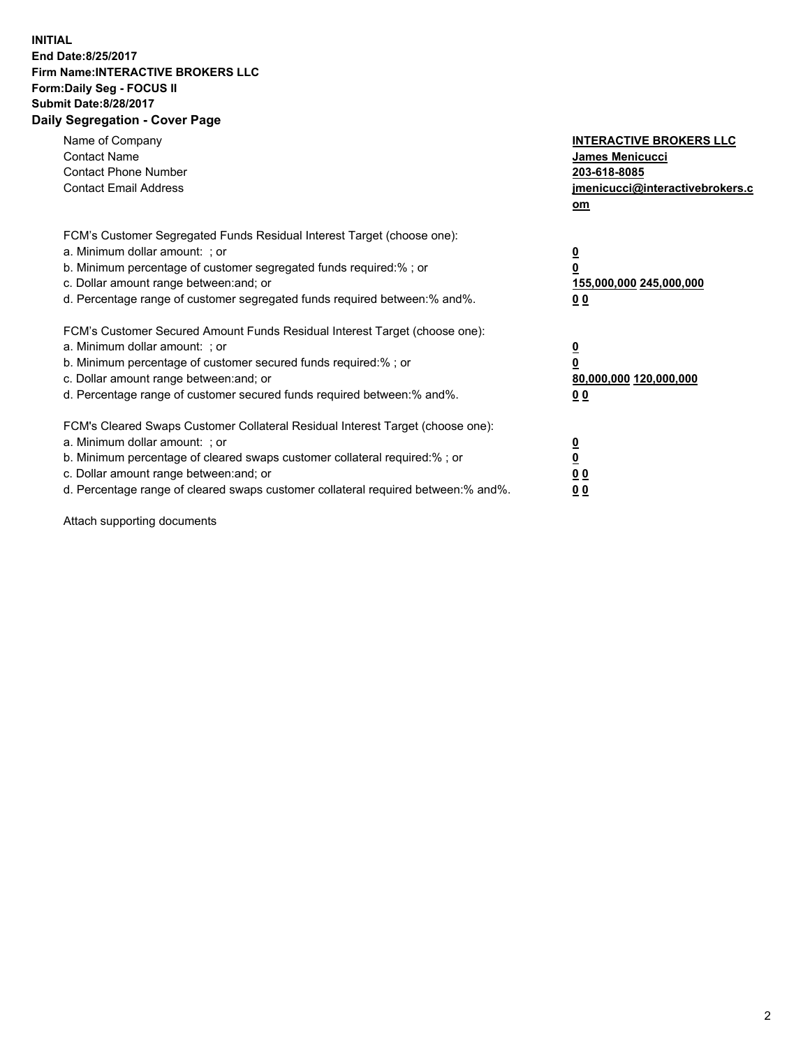## **INITIAL End Date:8/25/2017 Firm Name:INTERACTIVE BROKERS LLC Form:Daily Seg - FOCUS II Submit Date:8/28/2017 Daily Segregation - Cover Page**

| Name of Company<br><b>Contact Name</b><br><b>Contact Phone Number</b><br><b>Contact Email Address</b>                                                                                                                                                                                                                          | <b>INTERACTIVE BROKERS LLC</b><br><b>James Menicucci</b><br>203-618-8085<br>jmenicucci@interactivebrokers.c<br>om |
|--------------------------------------------------------------------------------------------------------------------------------------------------------------------------------------------------------------------------------------------------------------------------------------------------------------------------------|-------------------------------------------------------------------------------------------------------------------|
| FCM's Customer Segregated Funds Residual Interest Target (choose one):<br>a. Minimum dollar amount: ; or<br>b. Minimum percentage of customer segregated funds required:%; or<br>c. Dollar amount range between: and; or<br>d. Percentage range of customer segregated funds required between:% and%.                          | $\overline{\mathbf{0}}$<br>0<br>155,000,000 245,000,000<br>0 <sub>0</sub>                                         |
| FCM's Customer Secured Amount Funds Residual Interest Target (choose one):<br>a. Minimum dollar amount: ; or<br>b. Minimum percentage of customer secured funds required:%; or<br>c. Dollar amount range between: and; or<br>d. Percentage range of customer secured funds required between: % and %.                          | $\overline{\mathbf{0}}$<br>0<br>80,000,000 120,000,000<br>00                                                      |
| FCM's Cleared Swaps Customer Collateral Residual Interest Target (choose one):<br>a. Minimum dollar amount: ; or<br>b. Minimum percentage of cleared swaps customer collateral required:% ; or<br>c. Dollar amount range between: and; or<br>d. Percentage range of cleared swaps customer collateral required between:% and%. | $\overline{\mathbf{0}}$<br>$\overline{\mathbf{0}}$<br>0 <sub>0</sub><br><u>00</u>                                 |

Attach supporting documents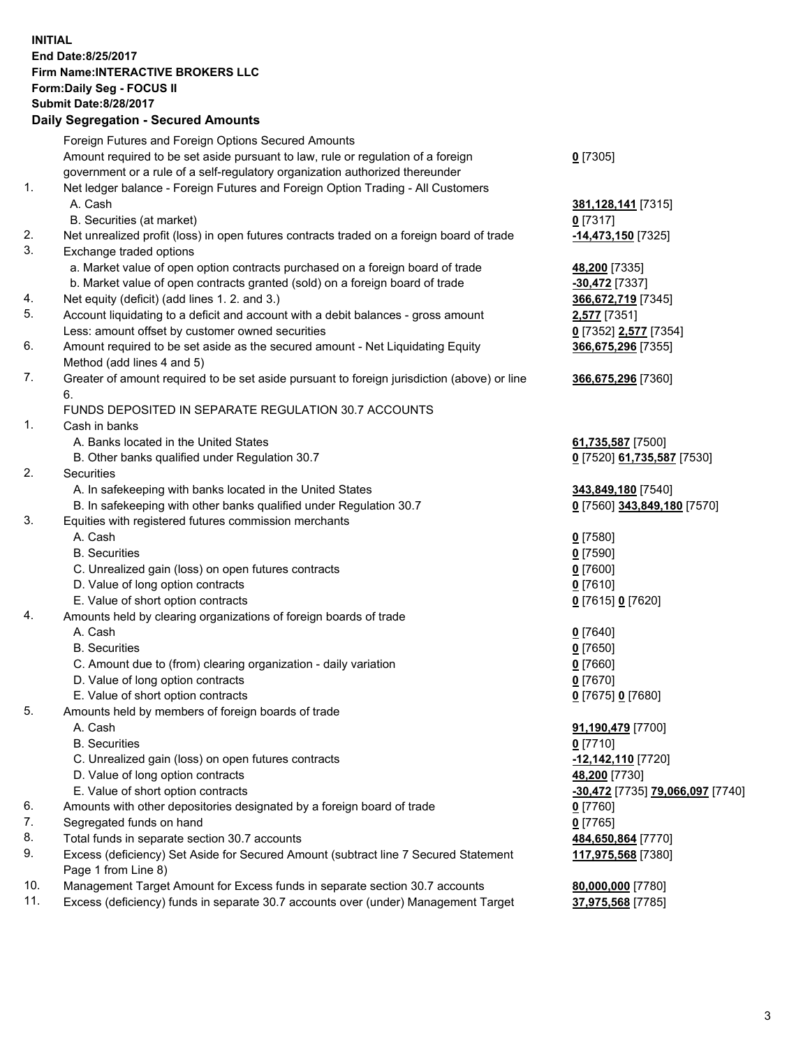## **INITIAL End Date:8/25/2017 Firm Name:INTERACTIVE BROKERS LLC Form:Daily Seg - FOCUS II Submit Date:8/28/2017 Daily Segregation - Secured Amounts**

|                | Dany Oogrogaach - Ocearea Amounta                                                                  |                                  |
|----------------|----------------------------------------------------------------------------------------------------|----------------------------------|
|                | Foreign Futures and Foreign Options Secured Amounts                                                |                                  |
|                | Amount required to be set aside pursuant to law, rule or regulation of a foreign                   | $0$ [7305]                       |
|                | government or a rule of a self-regulatory organization authorized thereunder                       |                                  |
| 1.             | Net ledger balance - Foreign Futures and Foreign Option Trading - All Customers                    |                                  |
|                | A. Cash                                                                                            | 381, 128, 141 [7315]             |
|                | B. Securities (at market)                                                                          | 0 [7317]                         |
| 2.             | Net unrealized profit (loss) in open futures contracts traded on a foreign board of trade          | -14,473,150 [7325]               |
| 3.             | Exchange traded options                                                                            |                                  |
|                | a. Market value of open option contracts purchased on a foreign board of trade                     | 48,200 [7335]                    |
|                | b. Market value of open contracts granted (sold) on a foreign board of trade                       | $-30,472$ [7337]                 |
| 4.             | Net equity (deficit) (add lines 1.2. and 3.)                                                       | 366,672,719 [7345]               |
| 5.             | Account liquidating to a deficit and account with a debit balances - gross amount                  | 2,577 [7351]                     |
|                | Less: amount offset by customer owned securities                                                   | 0 [7352] 2,577 [7354]            |
| 6.             | Amount required to be set aside as the secured amount - Net Liquidating Equity                     | 366,675,296 [7355]               |
|                | Method (add lines 4 and 5)                                                                         |                                  |
| 7.             | Greater of amount required to be set aside pursuant to foreign jurisdiction (above) or line        | 366,675,296 [7360]               |
|                | 6.                                                                                                 |                                  |
|                | FUNDS DEPOSITED IN SEPARATE REGULATION 30.7 ACCOUNTS                                               |                                  |
| $\mathbf{1}$ . | Cash in banks                                                                                      |                                  |
|                | A. Banks located in the United States                                                              | 61,735,587 [7500]                |
|                | B. Other banks qualified under Regulation 30.7                                                     | 0 [7520] 61,735,587 [7530]       |
| 2.             | Securities                                                                                         |                                  |
|                | A. In safekeeping with banks located in the United States                                          | 343,849,180 [7540]               |
|                | B. In safekeeping with other banks qualified under Regulation 30.7                                 | 0 [7560] 343,849,180 [7570]      |
| 3.             | Equities with registered futures commission merchants                                              |                                  |
|                | A. Cash                                                                                            | $0$ [7580]                       |
|                | <b>B.</b> Securities                                                                               | $0$ [7590]                       |
|                | C. Unrealized gain (loss) on open futures contracts                                                | $0$ [7600]                       |
|                | D. Value of long option contracts                                                                  | $0$ [7610]                       |
|                | E. Value of short option contracts                                                                 | 0 [7615] 0 [7620]                |
| 4.             | Amounts held by clearing organizations of foreign boards of trade                                  |                                  |
|                | A. Cash                                                                                            | $0$ [7640]                       |
|                | <b>B.</b> Securities                                                                               | $0$ [7650]                       |
|                | C. Amount due to (from) clearing organization - daily variation                                    | $0$ [7660]                       |
|                | D. Value of long option contracts                                                                  | $0$ [7670]                       |
|                | E. Value of short option contracts                                                                 | 0 [7675] 0 [7680]                |
| 5.             | Amounts held by members of foreign boards of trade                                                 |                                  |
|                | A. Cash                                                                                            | 91,190,479 [7700]                |
|                | <b>B.</b> Securities                                                                               | $0$ [7710]                       |
|                | C. Unrealized gain (loss) on open futures contracts                                                | -12,142,110 [7720]               |
|                | D. Value of long option contracts                                                                  | 48,200 [7730]                    |
|                | E. Value of short option contracts                                                                 |                                  |
| 6.             |                                                                                                    | -30,472 [7735] 79,066,097 [7740] |
| 7.             | Amounts with other depositories designated by a foreign board of trade<br>Segregated funds on hand | $0$ [7760]                       |
|                |                                                                                                    | $0$ [7765]                       |
| 8.             | Total funds in separate section 30.7 accounts                                                      | 484,650,864 [7770]               |
| 9.             | Excess (deficiency) Set Aside for Secured Amount (subtract line 7 Secured Statement                | 117,975,568 [7380]               |
|                | Page 1 from Line 8)                                                                                |                                  |
| 10.            | Management Target Amount for Excess funds in separate section 30.7 accounts                        | 80,000,000 [7780]                |
| 11.            | Excess (deficiency) funds in separate 30.7 accounts over (under) Management Target                 | 37,975,568 [7785]                |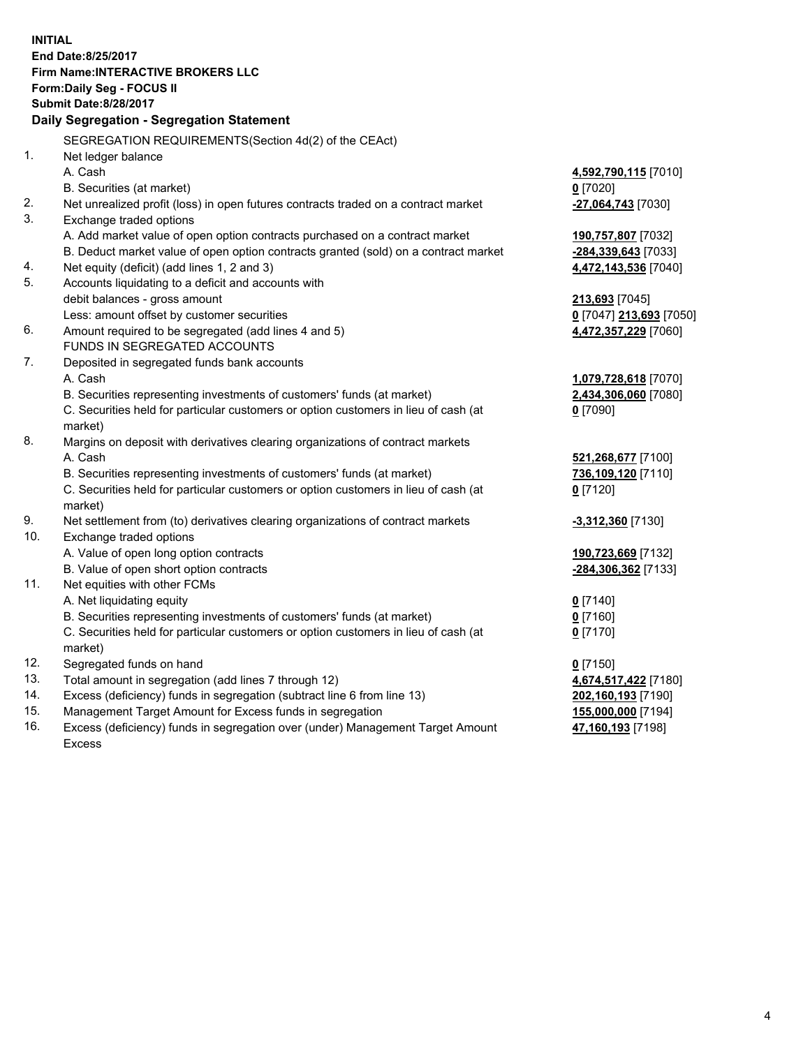**INITIAL End Date:8/25/2017 Firm Name:INTERACTIVE BROKERS LLC Form:Daily Seg - FOCUS II Submit Date:8/28/2017 Daily Segregation - Segregation Statement** SEGREGATION REQUIREMENTS(Section 4d(2) of the CEAct) 1. Net ledger balance A. Cash **4,592,790,115** [7010] B. Securities (at market) **0** [7020] 2. Net unrealized profit (loss) in open futures contracts traded on a contract market **-27,064,743** [7030] 3. Exchange traded options A. Add market value of open option contracts purchased on a contract market **190,757,807** [7032] B. Deduct market value of open option contracts granted (sold) on a contract market **-284,339,643** [7033] 4. Net equity (deficit) (add lines 1, 2 and 3) **4,472,143,536** [7040] 5. Accounts liquidating to a deficit and accounts with debit balances - gross amount **213,693** [7045] Less: amount offset by customer securities **0** [7047] **213,693** [7050] 6. Amount required to be segregated (add lines 4 and 5) **4,472,357,229** [7060] FUNDS IN SEGREGATED ACCOUNTS 7. Deposited in segregated funds bank accounts A. Cash **1,079,728,618** [7070] B. Securities representing investments of customers' funds (at market) **2,434,306,060** [7080] C. Securities held for particular customers or option customers in lieu of cash (at market) **0** [7090] 8. Margins on deposit with derivatives clearing organizations of contract markets A. Cash **521,268,677** [7100] B. Securities representing investments of customers' funds (at market) **736,109,120** [7110] C. Securities held for particular customers or option customers in lieu of cash (at market) **0** [7120] 9. Net settlement from (to) derivatives clearing organizations of contract markets **-3,312,360** [7130] 10. Exchange traded options A. Value of open long option contracts **190,723,669** [7132] B. Value of open short option contracts **-284,306,362** [7133] 11. Net equities with other FCMs A. Net liquidating equity **0** [7140] B. Securities representing investments of customers' funds (at market) **0** [7160] C. Securities held for particular customers or option customers in lieu of cash (at market) **0** [7170] 12. Segregated funds on hand **0** [7150] 13. Total amount in segregation (add lines 7 through 12) **4,674,517,422** [7180] 14. Excess (deficiency) funds in segregation (subtract line 6 from line 13) **202,160,193** [7190] 15. Management Target Amount for Excess funds in segregation **155,000,000** [7194] 16. Excess (deficiency) funds in segregation over (under) Management Target Amount **47,160,193** [7198]

Excess